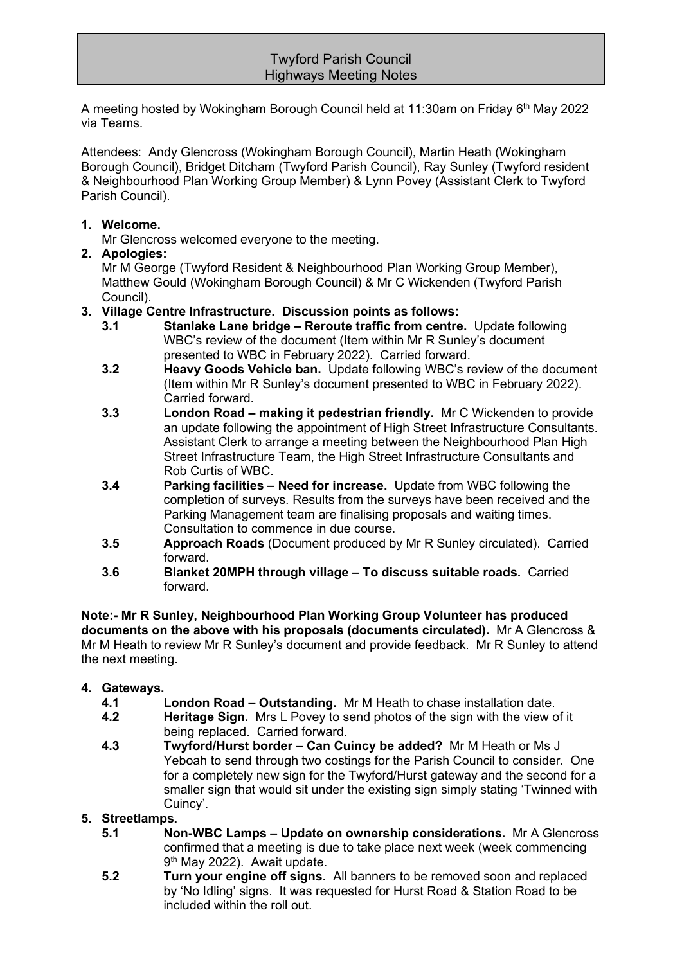## Twyford Parish Council Highways Meeting Notes

A meeting hosted by Wokingham Borough Council held at 11:30am on Friday 6<sup>th</sup> May 2022 via Teams.

Attendees: Andy Glencross (Wokingham Borough Council), Martin Heath (Wokingham Borough Council), Bridget Ditcham (Twyford Parish Council), Ray Sunley (Twyford resident & Neighbourhood Plan Working Group Member) & Lynn Povey (Assistant Clerk to Twyford Parish Council).

### **1. Welcome.**

Mr Glencross welcomed everyone to the meeting.

#### **2. Apologies:**

Mr M George (Twyford Resident & Neighbourhood Plan Working Group Member), Matthew Gould (Wokingham Borough Council) & Mr C Wickenden (Twyford Parish Council).

#### **3. Village Centre Infrastructure. Discussion points as follows:**

- **3.1 Stanlake Lane bridge – Reroute traffic from centre.** Update following WBC's review of the document (Item within Mr R Sunley's document presented to WBC in February 2022). Carried forward.
- **3.2 Heavy Goods Vehicle ban.** Update following WBC's review of the document (Item within Mr R Sunley's document presented to WBC in February 2022). Carried forward.
- **3.3 London Road – making it pedestrian friendly.** Mr C Wickenden to provide an update following the appointment of High Street Infrastructure Consultants. Assistant Clerk to arrange a meeting between the Neighbourhood Plan High Street Infrastructure Team, the High Street Infrastructure Consultants and Rob Curtis of WBC.
- **3.4 Parking facilities – Need for increase.** Update from WBC following the completion of surveys. Results from the surveys have been received and the Parking Management team are finalising proposals and waiting times. Consultation to commence in due course.
- **3.5 Approach Roads** (Document produced by Mr R Sunley circulated). Carried forward.
- **3.6 Blanket 20MPH through village – To discuss suitable roads.** Carried forward.

**Note:- Mr R Sunley, Neighbourhood Plan Working Group Volunteer has produced documents on the above with his proposals (documents circulated).** Mr A Glencross & Mr M Heath to review Mr R Sunley's document and provide feedback. Mr R Sunley to attend the next meeting.

#### **4. Gateways.**

- **4.1 London Road – Outstanding.** Mr M Heath to chase installation date.
- **4.2 Heritage Sign.** Mrs L Povey to send photos of the sign with the view of it being replaced. Carried forward.
- **4.3 Twyford/Hurst border – Can Cuincy be added?** Mr M Heath or Ms J Yeboah to send through two costings for the Parish Council to consider. One for a completely new sign for the Twyford/Hurst gateway and the second for a smaller sign that would sit under the existing sign simply stating 'Twinned with Cuincy'.

# **5. Streetlamps.**

- **5.1 Non-WBC Lamps – Update on ownership considerations.** Mr A Glencross confirmed that a meeting is due to take place next week (week commencing 9<sup>th</sup> May 2022). Await update.
- **5.2 Turn your engine off signs.** All banners to be removed soon and replaced by 'No Idling' signs. It was requested for Hurst Road & Station Road to be included within the roll out.